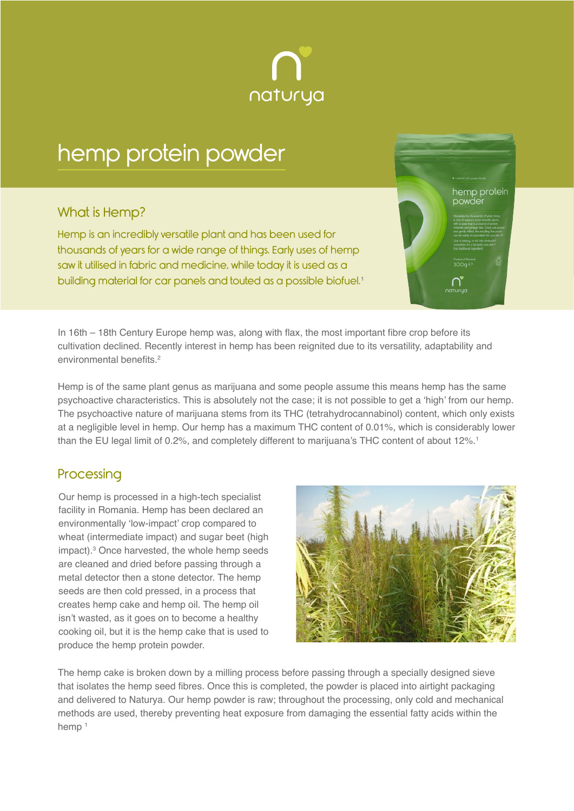

# hemp protein powder

### What is Hemp?

Hemp is an incredibly versatile plant and has been used for thousands of years for a wide range of things. Early uses of hemp saw it utilised in fabric and medicine, while today it is used as a building material for car panels and touted as a possible biofuel.<sup>1</sup> hemp protein powde

In 16th – 18th Century Europe hemp was, along with flax, the most important fibre crop before its cultivation declined. Recently interest in hemp has been reignited due to its versatility, adaptability and environmental benefits.<sup>2</sup>

Hemp is of the same plant genus as marijuana and some people assume this means hemp has the same psychoactive characteristics. This is absolutely not the case; it is not possible to get a 'high' from our hemp. The psychoactive nature of marijuana stems from its THC (tetrahydrocannabinol) content, which only exists at a negligible level in hemp. Our hemp has a maximum THC content of 0.01%, which is considerably lower than the EU legal limit of 0.2%, and completely different to marijuana's THC content of about 12%.<sup>1</sup>

### **Processing**

Our hemp is processed in a high-tech specialist facility in Romania. Hemp has been declared an environmentally 'low-impact' crop compared to wheat (intermediate impact) and sugar beet (high impact).<sup>3</sup> Once harvested, the whole hemp seeds are cleaned and dried before passing through a metal detector then a stone detector. The hemp seeds are then cold pressed, in a process that creates hemp cake and hemp oil. The hemp oil isn't wasted, as it goes on to become a healthy cooking oil, but it is the hemp cake that is used to produce the hemp protein powder.



The hemp cake is broken down by a milling process before passing through a specially designed sieve that isolates the hemp seed fibres. Once this is completed, the powder is placed into airtight packaging and delivered to Naturya. Our hemp powder is raw; throughout the processing, only cold and mechanical methods are used, thereby preventing heat exposure from damaging the essential fatty acids within the hemp<sup>1</sup>